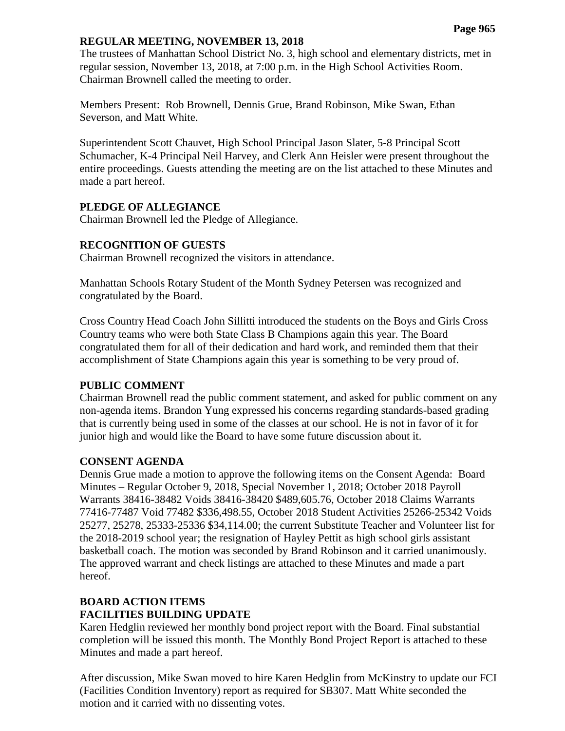#### **REGULAR MEETING, NOVEMBER 13, 2018**

The trustees of Manhattan School District No. 3, high school and elementary districts, met in regular session, November 13, 2018, at 7:00 p.m. in the High School Activities Room. Chairman Brownell called the meeting to order.

Members Present: Rob Brownell, Dennis Grue, Brand Robinson, Mike Swan, Ethan Severson, and Matt White.

Superintendent Scott Chauvet, High School Principal Jason Slater, 5-8 Principal Scott Schumacher, K-4 Principal Neil Harvey, and Clerk Ann Heisler were present throughout the entire proceedings. Guests attending the meeting are on the list attached to these Minutes and made a part hereof.

#### **PLEDGE OF ALLEGIANCE**

Chairman Brownell led the Pledge of Allegiance.

## **RECOGNITION OF GUESTS**

Chairman Brownell recognized the visitors in attendance.

Manhattan Schools Rotary Student of the Month Sydney Petersen was recognized and congratulated by the Board.

Cross Country Head Coach John Sillitti introduced the students on the Boys and Girls Cross Country teams who were both State Class B Champions again this year. The Board congratulated them for all of their dedication and hard work, and reminded them that their accomplishment of State Champions again this year is something to be very proud of.

#### **PUBLIC COMMENT**

Chairman Brownell read the public comment statement, and asked for public comment on any non-agenda items. Brandon Yung expressed his concerns regarding standards-based grading that is currently being used in some of the classes at our school. He is not in favor of it for junior high and would like the Board to have some future discussion about it.

#### **CONSENT AGENDA**

Dennis Grue made a motion to approve the following items on the Consent Agenda: Board Minutes – Regular October 9, 2018, Special November 1, 2018; October 2018 Payroll Warrants 38416-38482 Voids 38416-38420 \$489,605.76, October 2018 Claims Warrants 77416-77487 Void 77482 \$336,498.55, October 2018 Student Activities 25266-25342 Voids 25277, 25278, 25333-25336 \$34,114.00; the current Substitute Teacher and Volunteer list for the 2018-2019 school year; the resignation of Hayley Pettit as high school girls assistant basketball coach. The motion was seconded by Brand Robinson and it carried unanimously. The approved warrant and check listings are attached to these Minutes and made a part hereof.

# **BOARD ACTION ITEMS**

## **FACILITIES BUILDING UPDATE**

Karen Hedglin reviewed her monthly bond project report with the Board. Final substantial completion will be issued this month. The Monthly Bond Project Report is attached to these Minutes and made a part hereof.

After discussion, Mike Swan moved to hire Karen Hedglin from McKinstry to update our FCI (Facilities Condition Inventory) report as required for SB307. Matt White seconded the motion and it carried with no dissenting votes.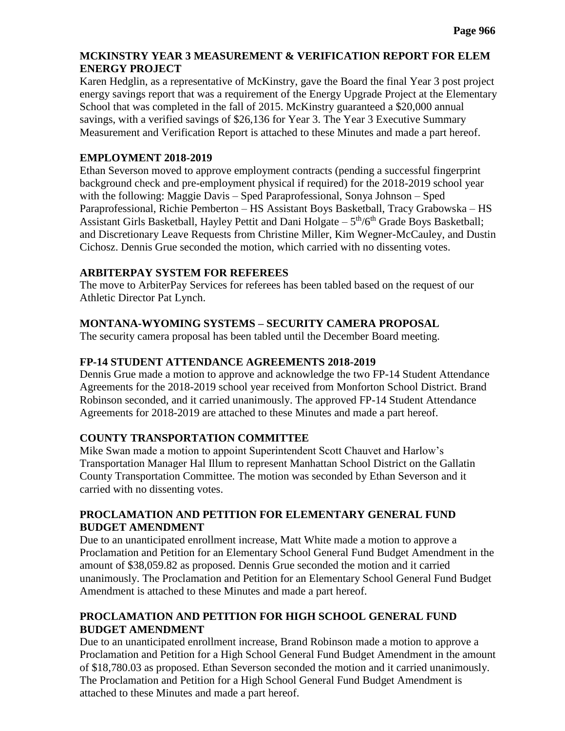## **MCKINSTRY YEAR 3 MEASUREMENT & VERIFICATION REPORT FOR ELEM ENERGY PROJECT**

Karen Hedglin, as a representative of McKinstry, gave the Board the final Year 3 post project energy savings report that was a requirement of the Energy Upgrade Project at the Elementary School that was completed in the fall of 2015. McKinstry guaranteed a \$20,000 annual savings, with a verified savings of \$26,136 for Year 3. The Year 3 Executive Summary Measurement and Verification Report is attached to these Minutes and made a part hereof.

## **EMPLOYMENT 2018-2019**

Ethan Severson moved to approve employment contracts (pending a successful fingerprint background check and pre-employment physical if required) for the 2018-2019 school year with the following: Maggie Davis – Sped Paraprofessional, Sonya Johnson – Sped Paraprofessional, Richie Pemberton – HS Assistant Boys Basketball, Tracy Grabowska – HS Assistant Girls Basketball, Hayley Pettit and Dani Holgate  $-5<sup>th</sup>/6<sup>th</sup>$  Grade Boys Basketball; and Discretionary Leave Requests from Christine Miller, Kim Wegner-McCauley, and Dustin Cichosz. Dennis Grue seconded the motion, which carried with no dissenting votes.

# **ARBITERPAY SYSTEM FOR REFEREES**

The move to ArbiterPay Services for referees has been tabled based on the request of our Athletic Director Pat Lynch.

# **MONTANA-WYOMING SYSTEMS – SECURITY CAMERA PROPOSAL**

The security camera proposal has been tabled until the December Board meeting.

# **FP-14 STUDENT ATTENDANCE AGREEMENTS 2018-2019**

Dennis Grue made a motion to approve and acknowledge the two FP-14 Student Attendance Agreements for the 2018-2019 school year received from Monforton School District. Brand Robinson seconded, and it carried unanimously. The approved FP-14 Student Attendance Agreements for 2018-2019 are attached to these Minutes and made a part hereof.

# **COUNTY TRANSPORTATION COMMITTEE**

Mike Swan made a motion to appoint Superintendent Scott Chauvet and Harlow's Transportation Manager Hal Illum to represent Manhattan School District on the Gallatin County Transportation Committee. The motion was seconded by Ethan Severson and it carried with no dissenting votes.

# **PROCLAMATION AND PETITION FOR ELEMENTARY GENERAL FUND BUDGET AMENDMENT**

Due to an unanticipated enrollment increase, Matt White made a motion to approve a Proclamation and Petition for an Elementary School General Fund Budget Amendment in the amount of \$38,059.82 as proposed. Dennis Grue seconded the motion and it carried unanimously. The Proclamation and Petition for an Elementary School General Fund Budget Amendment is attached to these Minutes and made a part hereof.

# **PROCLAMATION AND PETITION FOR HIGH SCHOOL GENERAL FUND BUDGET AMENDMENT**

Due to an unanticipated enrollment increase, Brand Robinson made a motion to approve a Proclamation and Petition for a High School General Fund Budget Amendment in the amount of \$18,780.03 as proposed. Ethan Severson seconded the motion and it carried unanimously. The Proclamation and Petition for a High School General Fund Budget Amendment is attached to these Minutes and made a part hereof.